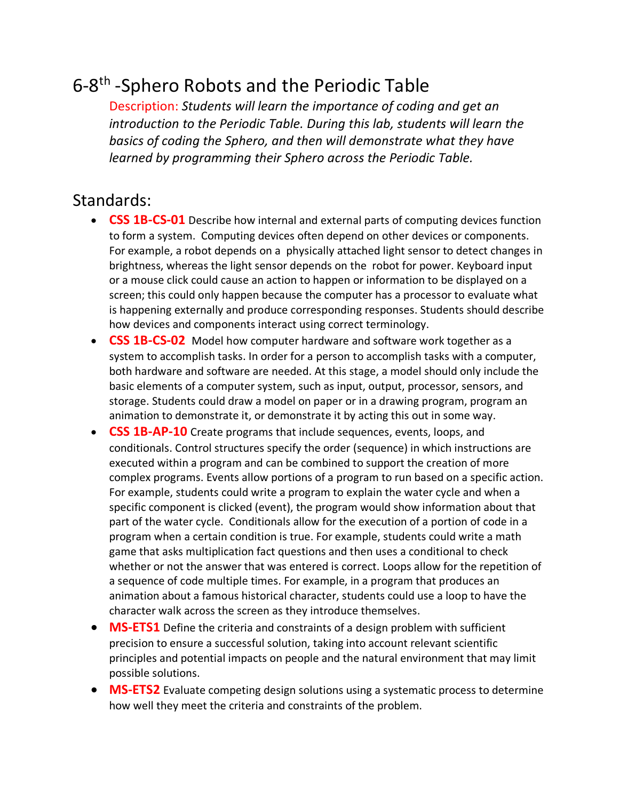## 6-8th -Sphero Robots and the Periodic Table

Description: *Students will learn the importance of coding and get an introduction to the Periodic Table. During this lab, students will learn the basics of coding the Sphero, and then will demonstrate what they have learned by programming their Sphero across the Periodic Table.*

#### Standards:

- **CSS 1B-CS-01** Describe how internal and external parts of computing devices function to form a system. Computing devices often depend on other devices or components. For example, a robot depends on a physically attached light sensor to detect changes in brightness, whereas the light sensor depends on the robot for power. Keyboard input or a mouse click could cause an action to happen or information to be displayed on a screen; this could only happen because the computer has a processor to evaluate what is happening externally and produce corresponding responses. Students should describe how devices and components interact using correct terminology.
- **CSS 1B-CS-02** Model how computer hardware and software work together as a system to accomplish tasks. In order for a person to accomplish tasks with a computer, both hardware and software are needed. At this stage, a model should only include the basic elements of a computer system, such as input, output, processor, sensors, and storage. Students could draw a model on paper or in a drawing program, program an animation to demonstrate it, or demonstrate it by acting this out in some way.
- **CSS 1B-AP-10** Create programs that include sequences, events, loops, and conditionals. Control structures specify the order (sequence) in which instructions are executed within a program and can be combined to support the creation of more complex programs. Events allow portions of a program to run based on a specific action. For example, students could write a program to explain the water cycle and when a specific component is clicked (event), the program would show information about that part of the water cycle. Conditionals allow for the execution of a portion of code in a program when a certain condition is true. For example, students could write a math game that asks multiplication fact questions and then uses a conditional to check whether or not the answer that was entered is correct. Loops allow for the repetition of a sequence of code multiple times. For example, in a program that produces an animation about a famous historical character, students could use a loop to have the character walk across the screen as they introduce themselves.
- **MS-ETS1** Define the criteria and constraints of a design problem with sufficient precision to ensure a successful solution, taking into account relevant scientific principles and potential impacts on people and the natural environment that may limit possible solutions.
- **MS-ETS2** Evaluate competing design solutions using a systematic process to determine how well they meet the criteria and constraints of the problem.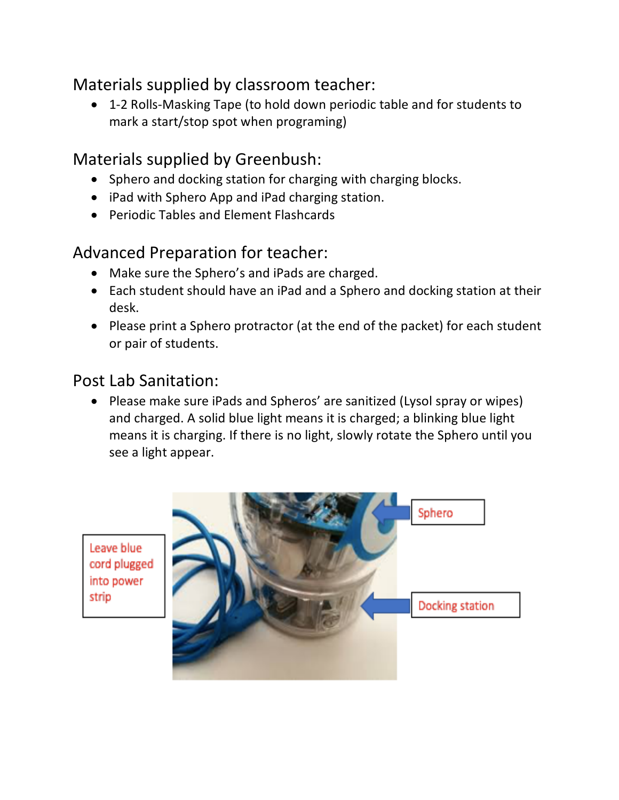### Materials supplied by classroom teacher:

• 1-2 Rolls-Masking Tape (to hold down periodic table and for students to mark a start/stop spot when programing)

#### Materials supplied by Greenbush:

- Sphero and docking station for charging with charging blocks.
- iPad with Sphero App and iPad charging station.
- Periodic Tables and Element Flashcards

#### Advanced Preparation for teacher:

- Make sure the Sphero's and iPads are charged.
- Each student should have an iPad and a Sphero and docking station at their desk.
- Please print a Sphero protractor (at the end of the packet) for each student or pair of students.

#### Post Lab Sanitation:

• Please make sure iPads and Spheros' are sanitized (Lysol spray or wipes) and charged. A solid blue light means it is charged; a blinking blue light means it is charging. If there is no light, slowly rotate the Sphero until you see a light appear.



Leave blue cord plugged into power strip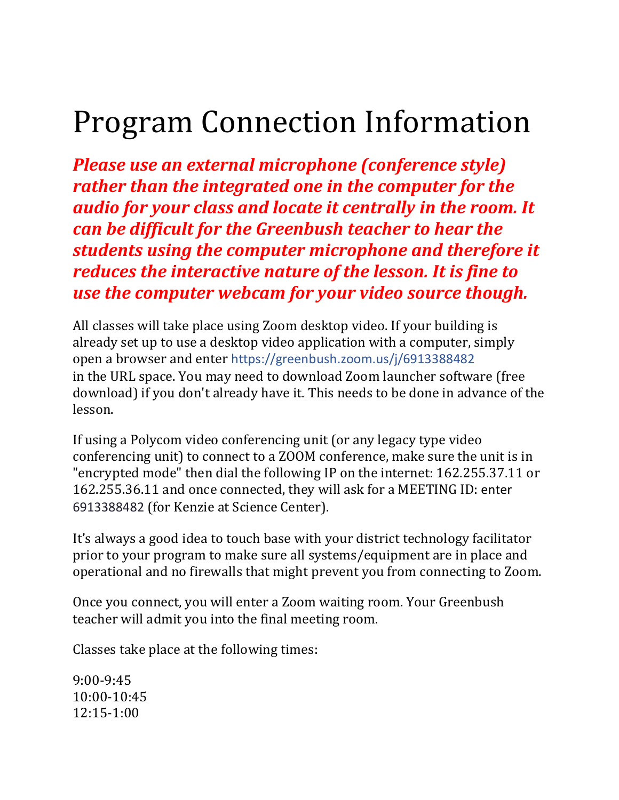# Program Connection Information

*Please use an external microphone (conference style)* rather than the integrated one in the computer for the audio for your class and locate it centrally in the room. It *can be difficult for the Greenbush teacher to hear the* students using the computer microphone and therefore it *reduces the interactive nature of the lesson. It is fine to use the computer webcam for your video source though.* 

All classes will take place using Zoom desktop video. If your building is already set up to use a desktop video application with a computer, simply open a browser and enter https://greenbush.zoom.us/j/6913388482 in the URL space. You may need to download Zoom launcher software (free download) if you don't already have it. This needs to be done in advance of the lesson. 

If using a Polycom video conferencing unit (or any legacy type video conferencing unit) to connect to a ZOOM conference, make sure the unit is in "encrypted mode" then dial the following IP on the internet: 162.255.37.11 or 162.255.36.11 and once connected, they will ask for a MEETING ID: enter 6913388482 (for Kenzie at Science Center).

It's always a good idea to touch base with your district technology facilitator prior to your program to make sure all systems/equipment are in place and operational and no firewalls that might prevent you from connecting to Zoom.

Once you connect, you will enter a Zoom waiting room. Your Greenbush teacher will admit you into the final meeting room.

Classes take place at the following times:

9:00-9:45 10:00-10:45 12:15-1:00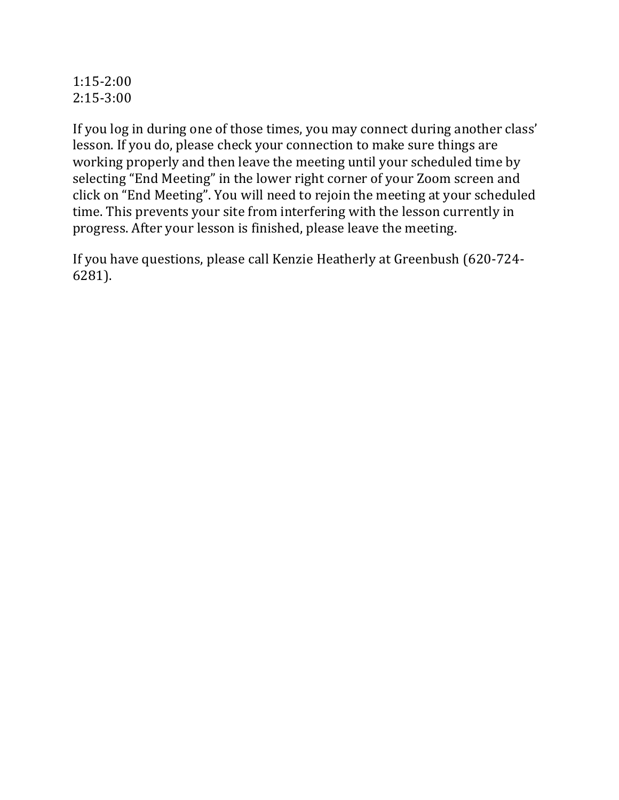1:15-2:00 2:15-3:00

If you log in during one of those times, you may connect during another class' lesson. If you do, please check your connection to make sure things are working properly and then leave the meeting until your scheduled time by selecting "End Meeting" in the lower right corner of your Zoom screen and click on "End Meeting". You will need to rejoin the meeting at your scheduled time. This prevents your site from interfering with the lesson currently in progress. After your lesson is finished, please leave the meeting.

If you have questions, please call Kenzie Heatherly at Greenbush (620-724-6281).